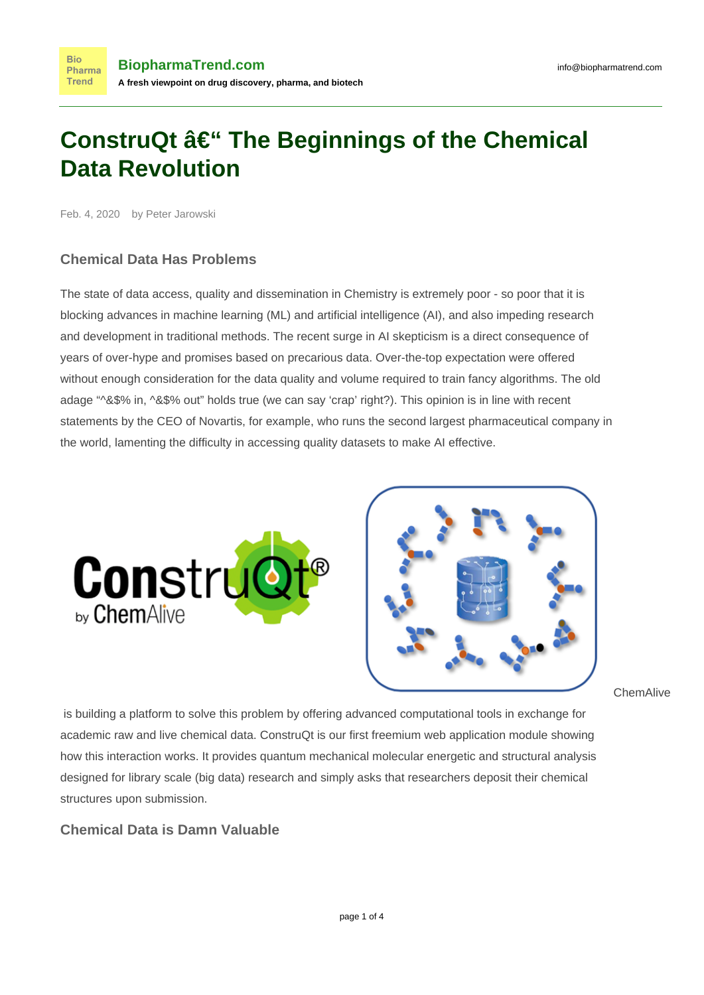# **ConstruQt – The Beginnings of the Chemical Data Revolution**

Feb. 4, 2020 by Peter Jarowski

**Bio** 

## **Chemical Data Has Problems**

The state of data access, quality and dissemination in Chemistry is extremely poor - so poor that it is blocking advances in machine learning (ML) and artificial intelligence (AI), and also impeding research and development in traditional methods. The recent surge in AI [skepticism](https://www.linkedin.com/feed/update/urn:li:activity:6629428827598700544/?commentUrn=urn%3Ali%3Acomment%3A(ugcPost%3A6629428827170893824%2C6629790450595229698)) is a direct consequence of years of over-hype and promises based on precarious data. Over-the-top expectation were offered without enough consideration for the data quality and volume required to train fancy algorithms. The old adage "^&\$% in, ^&\$% out" holds true (we can say 'crap' right?). This opinion is in line with recent statements by the CEO of Novartis, for example, who runs the second largest pharmaceutical company in the world, [lamenting the difficulty in accessing quality](https://www.forbes.com/) datasets to make AI effective.





**[ChemAlive](http://www.chemalive.com/)** 

 is building a platform to solve this problem by offering advanced computational tools in exchange for academic raw and live chemical data. [ConstruQt](http://app.chemaive.com/) is our first freemium web application module showing how this interaction works. It provides quantum mechanical molecular energetic and structural analysis designed for library scale (big data) research and simply asks that researchers deposit their chemical structures upon submission.

#### **Chemical Data is Damn Valuable**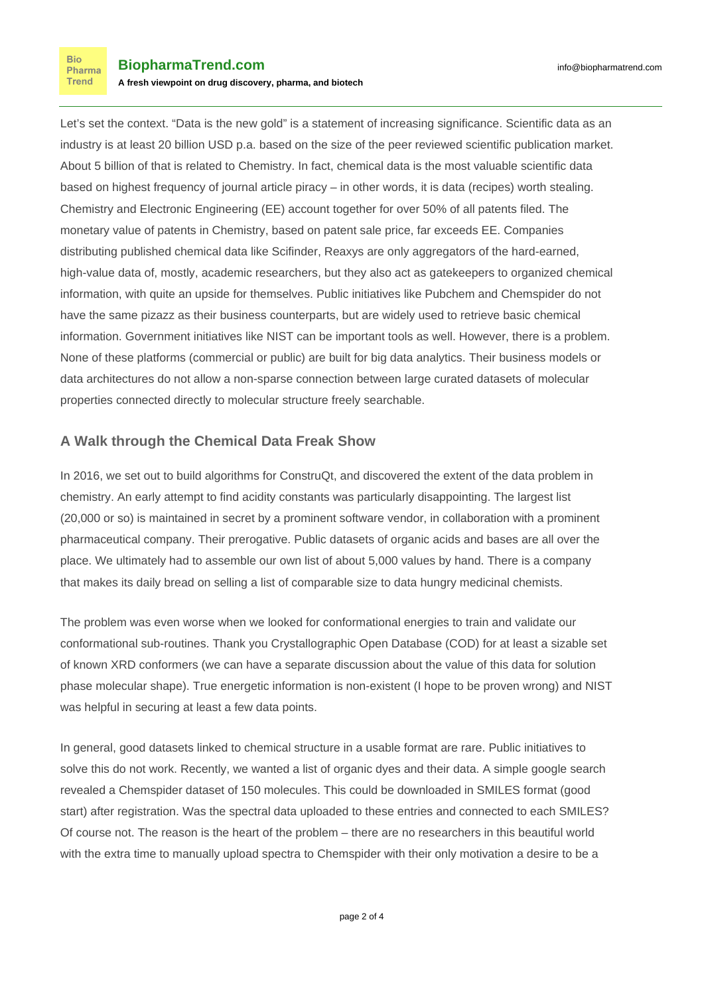Let's set the context. "Data is the new gold" is a statement of increasing significance. Scientific data as an industry is at least [20 billion USD p.a.](https://www.stm-assoc.org/2015_02_20_STM_Report_2015.pdf) based on the size of the peer reviewed scientific publication market. About 5 billion of that is related to Chemistry. In fact, chemical data is the most valuable scientific data based on highest frequency of [journal article piracy](https://physicstoday.scitation.org/do/10.1063/PT.6.3.20171221a/full/) – in other words, it is data (recipes) worth stealing. Chemistry and Electronic Engineering (EE) account together for over [50% of all patents filed](https://www.iam-media.com/law-policy/global-patent-market-10-charts). The monetary value of patents in Chemistry, based on [patent sale price](https://www.epo.org/news-issues/news/2019/20190312.html), far exceeds EE. Companies distributing published chemical data like Scifinder, Reaxys are only aggregators of the hard-earned, high-value data of, mostly, academic researchers, but they also act as gatekeepers to organized chemical information, with quite an upside for themselves. Public initiatives like [Pubchem](https://pubchem.ncbi.nlm.nih.gov/) and [Chemspider](http://www.chemspider.com/) do not have the same pizazz as their business counterparts, but are widely used to retrieve basic chemical information. Government initiatives like [NIST](https://www.nist.gov/) can be important tools as well. However, there is a problem. None of these platforms (commercial or public) are built for big data analytics. Their business models or data architectures do not allow a non-sparse connection between large curated datasets of molecular properties connected directly to molecular structure freely searchable.

#### **A Walk through the Chemical Data Freak Show**

In 2016, we set out to build algorithms for [ConstruQt](https://www.chemalive.com/construqt/), and discovered the extent of the data problem in chemistry. An early attempt to find acidity constants was particularly disappointing. The largest list (20,000 or so) is maintained in secret by a prominent software vendor, in collaboration with a prominent pharmaceutical company. Their prerogative. Public datasets of organic acids and bases are all over the place. We ultimately had to assemble our own list of about 5,000 values by hand. There is a company that makes its daily bread on selling a list of comparable size to data hungry medicinal chemists.

The problem was even worse when we looked for conformational energies to train and validate our conformational sub-routines. Thank you [Crystallographic Open Database](http://www.crystallography.net/cod/) (COD) for at least a sizable set of known XRD conformers (we can have a separate discussion about the value of this data for solution phase molecular shape). True energetic information is non-existent (I hope to be proven wrong) and NIST was helpful in securing at least a few data points.

In general, good datasets linked to chemical structure in a usable format are rare. Public initiatives to solve this do not work. Recently, we wanted a list of organic dyes and their data. A simple google search revealed a Chemspider dataset of 150 molecules. This could be downloaded in SMILES format (good start) after registration. Was the spectral data uploaded to these entries and connected to each SMILES? Of course not. The reason is the heart of the problem – there are no researchers in this beautiful world with the extra time to manually upload spectra to Chemspider with their only motivation a desire to be a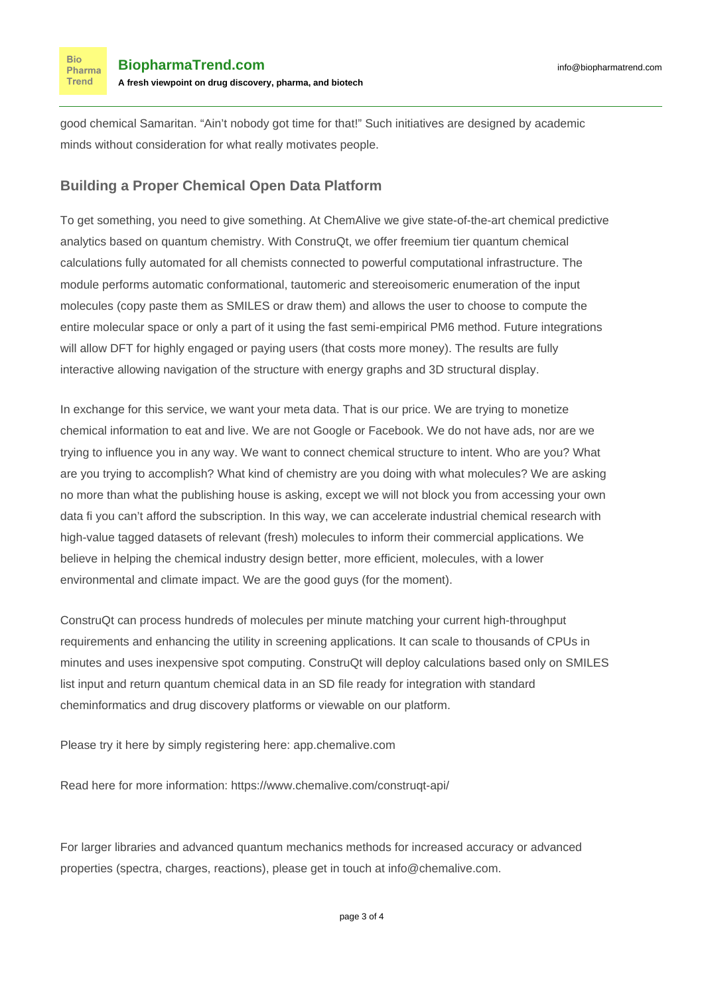**Bio** Pharma Trend

good chemical Samaritan. "Ain't nobody got time for that!" Such initiatives are designed by academic minds without consideration for what really motivates people.

### **Building a Proper Chemical Open Data Platform**

To get something, you need to give something. At ChemAlive we give state-of-the-art chemical predictive analytics based on quantum chemistry. With [ConstruQt,](http://app.chemalive.com/) we offer freemium tier quantum chemical calculations fully automated for all chemists connected to powerful computational infrastructure. The module performs automatic conformational, tautomeric and stereoisomeric enumeration of the input molecules (copy paste them as SMILES or draw them) and allows the user to choose to compute the entire molecular space or only a part of it using the fast semi-empirical PM6 method. Future integrations will allow DFT for highly engaged or paying users (that costs more money). The results are fully interactive allowing navigation of the structure with energy graphs and 3D structural display.

In exchange for this service, we want your meta data. That is our price. We are trying to monetize chemical information to eat and live. We are not Google or Facebook. We do not have ads, nor are we trying to influence you in any way. We want to connect chemical structure to intent. Who are you? What are you trying to accomplish? What kind of chemistry are you doing with what molecules? We are asking no more than what the publishing house is asking, except we will not block you from accessing your own data fi you can't afford the subscription. In this way, we can accelerate industrial chemical research with high-value tagged datasets of relevant (fresh) molecules to inform their commercial applications. We believe in helping the chemical industry design better, more efficient, molecules, with a lower environmental and climate impact. We are the good guys (for the moment).

ConstruQt can process hundreds of molecules per minute matching your current high-throughput requirements and enhancing the utility in screening applications. It can scale to thousands of CPUs in minutes and uses inexpensive spot computing. ConstruQt will deploy calculations based only on SMILES list input and return quantum chemical data in an SD file ready for integration with standard cheminformatics and drug discovery platforms or viewable on our platform.

Please try it here by simply registering here: [app.chemalive.com](http://app.chemalive.com/)

Read here for more information: <https://www.chemalive.com/construqt-api/>

For larger libraries and advanced quantum mechanics methods for increased accuracy or advanced properties (spectra, charges, reactions), please get in touch at [info@chemalive.com](mailto:info@chemalive.com).